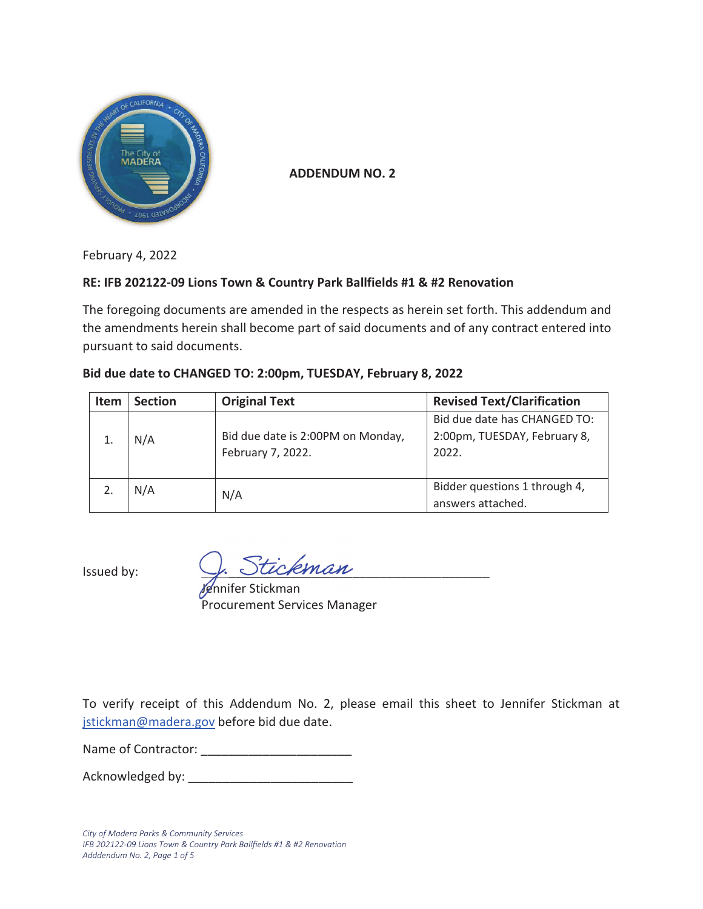

**ADDENDUM NO. 2** 

February 4, 2022

#### **RE: IFB 202122-09 Lions Town & Country Park Ballfields #1 & #2 Renovation**

The foregoing documents are amended in the respects as herein set forth. This addendum and the amendments herein shall become part of said documents and of any contract entered into pursuant to said documents.

| <b>Item</b> | <b>Section</b> | <b>Original Text</b>              | <b>Revised Text/Clarification</b> |
|-------------|----------------|-----------------------------------|-----------------------------------|
|             |                |                                   | Bid due date has CHANGED TO:      |
|             | N/A            | Bid due date is 2:00PM on Monday, | 2:00pm, TUESDAY, February 8,      |
|             |                | February 7, 2022.                 | 2022.                             |
|             |                |                                   |                                   |
|             | N/A            | N/A                               | Bidder questions 1 through 4,     |
|             |                |                                   | answers attached.                 |

#### **Bid due date to CHANGED TO: 2:00pm, TUESDAY, February 8, 2022**

Issued by:  $\sqrt{A}$   $\cup$   $\cup$   $\cup$   $\cap$   $\emptyset$   $\emptyset$ 

*lje*nnifer Stickman Procurement Services Manager

To verify receipt of this Addendum No. 2, please email this sheet to Jennifer Stickman at jstickman@madera.gov before bid due date.

Name of Contractor: \_\_\_\_\_\_\_\_\_\_\_\_\_\_\_\_\_\_\_\_\_\_

Acknowledged by:

*City of Madera Parks & Community Services IFB 202122-09 Lions Town & Country Park Ballfields #1 & #2 Renovation Adddendum No. 2, Page 1 of 5*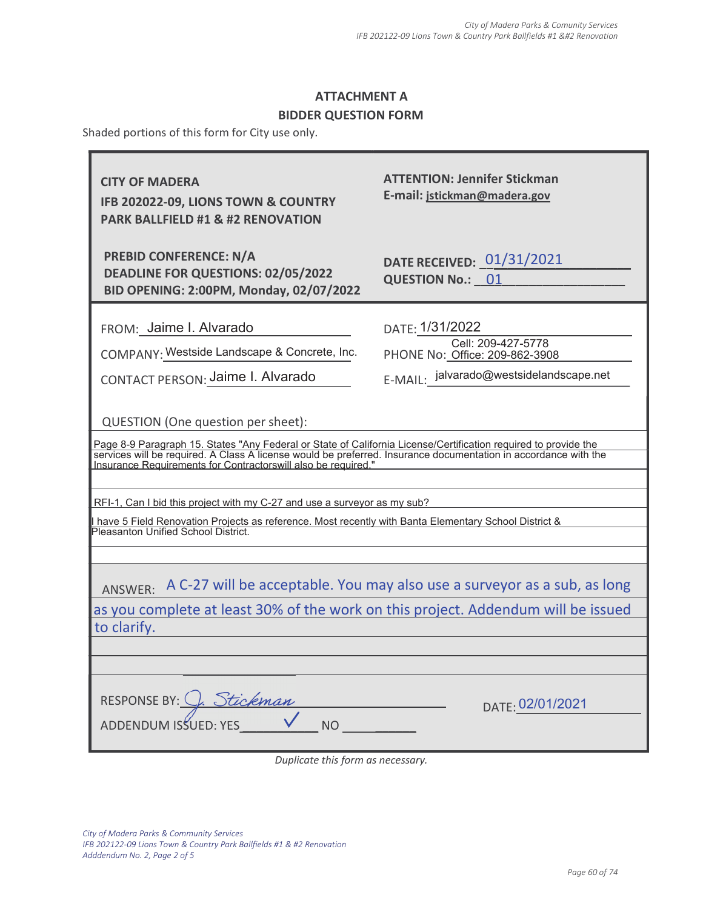#### BIDDER QUESTION FORM

Shaded portions of this form for City use only.

| <b>CITY OF MADERA</b><br>IFB 202022-09, LIONS TOWN & COUNTRY<br><b>PARK BALLFIELD #1 &amp; #2 RENOVATION</b>                                                                                                                                                                                                                              | <b>ATTENTION: Jennifer Stickman</b><br>E-mail: jstickman@madera.gov                                                |  |  |  |  |
|-------------------------------------------------------------------------------------------------------------------------------------------------------------------------------------------------------------------------------------------------------------------------------------------------------------------------------------------|--------------------------------------------------------------------------------------------------------------------|--|--|--|--|
| <b>PREBID CONFERENCE: N/A</b><br><b>DEADLINE FOR QUESTIONS: 02/05/2022</b><br>BID OPENING: 2:00PM, Monday, 02/07/2022                                                                                                                                                                                                                     | DATE RECEIVED: 01/31/2021<br><b>QUESTION No.: 01</b>                                                               |  |  |  |  |
| FROM: Jaime I. Alvarado<br>COMPANY: Westside Landscape & Concrete, Inc.<br>CONTACT PERSON: Jaime I. Alvarado                                                                                                                                                                                                                              | DATE: 1/31/2022<br>Cell: 209-427-5778<br>PHONE No: Office: 209-862-3908<br>E-MAIL: jalvarado@westsidelandscape.net |  |  |  |  |
| QUESTION (One question per sheet):<br>Page 8-9 Paragraph 15. States "Any Federal or State of California License/Certification required to provide the<br>services will be required. A Class A license would be preferred. Insurance documentation in accordance with the<br>Insurance Requirements for Contractorswill also be required." |                                                                                                                    |  |  |  |  |
| RFI-1, Can I bid this project with my C-27 and use a surveyor as my sub?<br>have 5 Field Renovation Projects as reference. Most recently with Banta Elementary School District &<br>Pleasanton Unified School District.                                                                                                                   |                                                                                                                    |  |  |  |  |
| A C-27 will be acceptable. You may also use a surveyor as a sub, as long<br>ANSWER:<br>as you complete at least 30% of the work on this project. Addendum will be issued<br>to clarify.                                                                                                                                                   |                                                                                                                    |  |  |  |  |
| RESPONSE BY: C. Stickman<br>ADDENDUM ISSUED: YES<br>NO                                                                                                                                                                                                                                                                                    | DATE: 02/01/2021                                                                                                   |  |  |  |  |

Duplicate this form as necessary.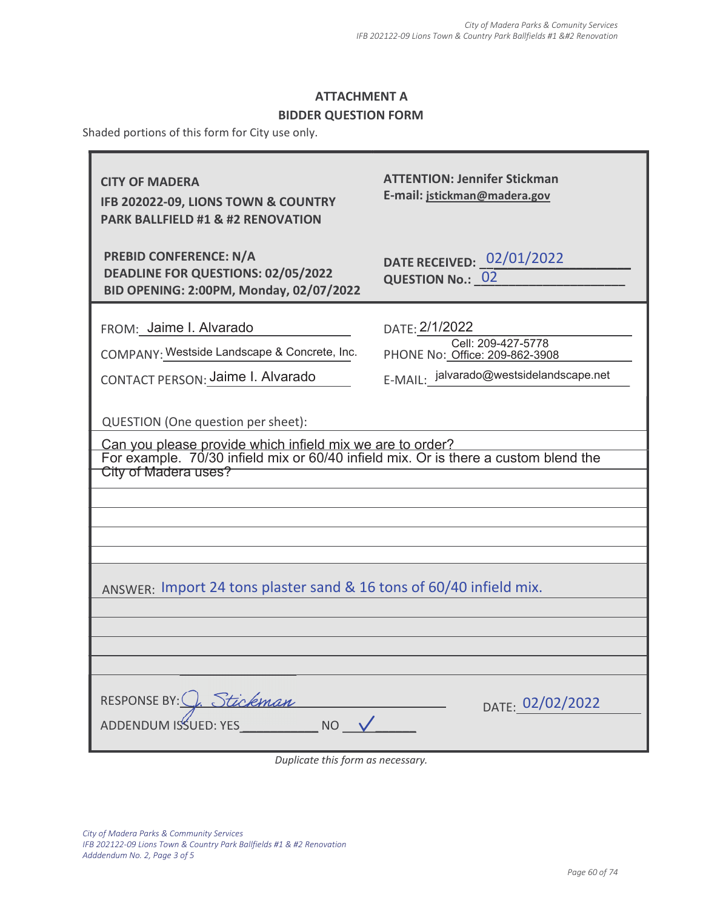### BIDDER QUESTION FORM

Shaded portions of this form for City use only.

| <b>CITY OF MADERA</b><br>IFB 202022-09, LIONS TOWN & COUNTRY<br><b>PARK BALLFIELD #1 &amp; #2 RENOVATION</b>                                                                                                   | <b>ATTENTION: Jennifer Stickman</b><br>E-mail: jstickman@madera.gov                                               |  |  |  |  |  |
|----------------------------------------------------------------------------------------------------------------------------------------------------------------------------------------------------------------|-------------------------------------------------------------------------------------------------------------------|--|--|--|--|--|
| <b>PREBID CONFERENCE: N/A</b><br>DEADLINE FOR QUESTIONS: 02/05/2022<br>BID OPENING: 2:00PM, Monday, 02/07/2022                                                                                                 | DATE RECEIVED: 02/01/2022<br><b>QUESTION No.: 02</b>                                                              |  |  |  |  |  |
| FROM: Jaime I. Alvarado<br>COMPANY: Westside Landscape & Concrete, Inc.<br>CONTACT PERSON: Jaime I. Alvarado                                                                                                   | DATE: 2/1/2022<br>Cell: 209-427-5778<br>PHONE No: Office: 209-862-3908<br>E-MAIL: jalvarado@westsidelandscape.net |  |  |  |  |  |
| QUESTION (One question per sheet):<br>Can you please provide which infield mix we are to order?<br>For example. 70/30 infield mix or 60/40 infield mix. Or is there a custom blend the<br>City of Madera uses? |                                                                                                                   |  |  |  |  |  |
| ANSWER: Import 24 tons plaster sand & 16 tons of 60/40 infield mix.                                                                                                                                            |                                                                                                                   |  |  |  |  |  |
| RESPONSE BY: <u>C. Stickman</u><br>NO V                                                                                                                                                                        | DATE: 02/02/2022                                                                                                  |  |  |  |  |  |

Duplicate this form as necessary.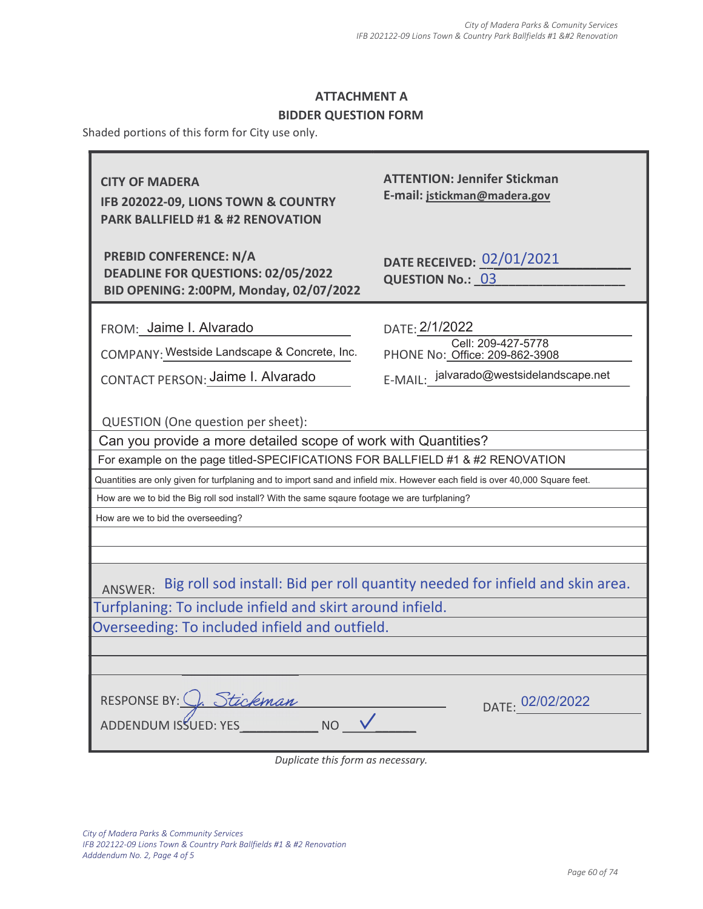### BIDDER QUESTION FORM

Shaded portions of this form for City use only.

| <b>CITY OF MADERA</b><br>IFB 202022-09, LIONS TOWN & COUNTRY<br><b>PARK BALLFIELD #1 &amp; #2 RENOVATION</b>                                                                                                                                                                                                                                                                                                                                                 | <b>ATTENTION: Jennifer Stickman</b><br>E-mail: jstickman@madera.gov |  |  |  |
|--------------------------------------------------------------------------------------------------------------------------------------------------------------------------------------------------------------------------------------------------------------------------------------------------------------------------------------------------------------------------------------------------------------------------------------------------------------|---------------------------------------------------------------------|--|--|--|
| <b>PREBID CONFERENCE: N/A</b><br><b>DEADLINE FOR QUESTIONS: 02/05/2022</b><br>BID OPENING: 2:00PM, Monday, 02/07/2022                                                                                                                                                                                                                                                                                                                                        | DATE RECEIVED: 02/01/2021<br><b>QUESTION No.: 03</b>                |  |  |  |
| FROM: Jaime I. Alvarado                                                                                                                                                                                                                                                                                                                                                                                                                                      | DATE: 2/1/2022                                                      |  |  |  |
| COMPANY: Westside Landscape & Concrete, Inc.                                                                                                                                                                                                                                                                                                                                                                                                                 | Cell: 209-427-5778<br>PHONE No: Office: 209-862-3908                |  |  |  |
| CONTACT PERSON: Jaime I. Alvarado                                                                                                                                                                                                                                                                                                                                                                                                                            | E-MAIL: jalvarado@westsidelandscape.net                             |  |  |  |
| QUESTION (One question per sheet):<br>Can you provide a more detailed scope of work with Quantities?<br>For example on the page titled-SPECIFICATIONS FOR BALLFIELD #1 & #2 RENOVATION<br>Quantities are only given for turfplaning and to import sand and infield mix. However each field is over 40,000 Square feet.<br>How are we to bid the Big roll sod install? With the same sqaure footage we are turfplaning?<br>How are we to bid the overseeding? |                                                                     |  |  |  |
| ANSWER: Big roll sod install: Bid per roll quantity needed for infield and skin area.<br>Turfplaning: To include infield and skirt around infield.<br>Overseeding: To included infield and outfield.                                                                                                                                                                                                                                                         |                                                                     |  |  |  |
| RESPONSE BY: C. Stickman<br>NO <sub>1</sub><br>ADDENDUM ISSUED: YES<br>Duplicate this form as necessary.                                                                                                                                                                                                                                                                                                                                                     | DATE: 02/02/2022                                                    |  |  |  |

*City of Madera Parks & Community Services IFB 202122-09 Lions Town & Country Park Ballfields #1 & #2 Renovation Adddendum No. 2, Page 4 of 5*